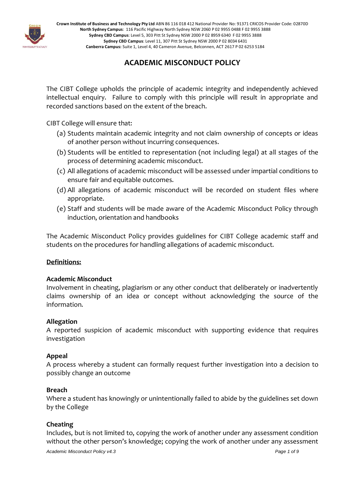

# **ACADEMIC MISCONDUCT POLICY**

The CIBT College upholds the principle of academic integrity and independently achieved intellectual enquiry. Failure to comply with this principle will result in appropriate and recorded sanctions based on the extent of the breach.

CIBT College will ensure that:

- (a) Students maintain academic integrity and not claim ownership of concepts or ideas of another person without incurring consequences.
- (b) Students will be entitled to representation (not including legal) at all stages of the process of determining academic misconduct.
- (c) All allegations of academic misconduct will be assessed under impartial conditions to ensure fair and equitable outcomes.
- (d) All allegations of academic misconduct will be recorded on student files where appropriate.
- (e) Staff and students will be made aware of the Academic Misconduct Policy through induction, orientation and handbooks

The Academic Misconduct Policy provides guidelines for CIBT College academic staff and students on the procedures for handling allegations of academic misconduct.

# **Definitions:**

# **Academic Misconduct**

Involvement in cheating, plagiarism or any other conduct that deliberately or inadvertently claims ownership of an idea or concept without acknowledging the source of the information.

# **Allegation**

A reported suspicion of academic misconduct with supporting evidence that requires investigation

# **Appeal**

A process whereby a student can formally request further investigation into a decision to possibly change an outcome

# **Breach**

Where a student has knowingly or unintentionally failed to abide by the guidelines set down by the College

# **Cheating**

Includes, but is not limited to, copying the work of another under any assessment condition without the other person's knowledge; copying the work of another under any assessment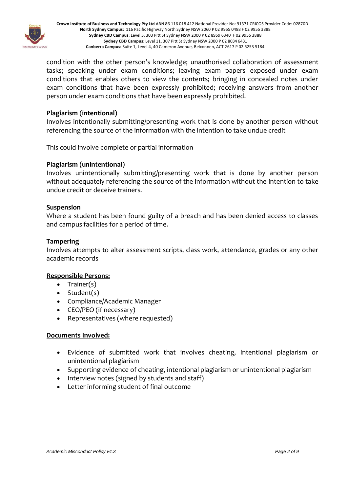

condition with the other person's knowledge; unauthorised collaboration of assessment tasks; speaking under exam conditions; leaving exam papers exposed under exam conditions that enables others to view the contents; bringing in concealed notes under exam conditions that have been expressly prohibited; receiving answers from another person under exam conditions that have been expressly prohibited.

# **Plagiarism (intentional)**

Involves intentionally submitting/presenting work that is done by another person without referencing the source of the information with the intention to take undue credit

This could involve complete or partial information

# **Plagiarism (unintentional)**

Involves unintentionally submitting/presenting work that is done by another person without adequately referencing the source of the information without the intention to take undue credit or deceive trainers.

# **Suspension**

Where a student has been found guilty of a breach and has been denied access to classes and campus facilities for a period of time.

# **Tampering**

Involves attempts to alter assessment scripts, class work, attendance, grades or any other academic records

# **Responsible Persons:**

- Trainer(s)
- Student(s)
- Compliance/Academic Manager
- CEO/PEO (if necessary)
- Representatives (where requested)

#### **Documents Involved:**

- Evidence of submitted work that involves cheating, intentional plagiarism or unintentional plagiarism
- Supporting evidence of cheating, intentional plagiarism or unintentional plagiarism
- Interview notes (signed by students and staff)
- Letter informing student of final outcome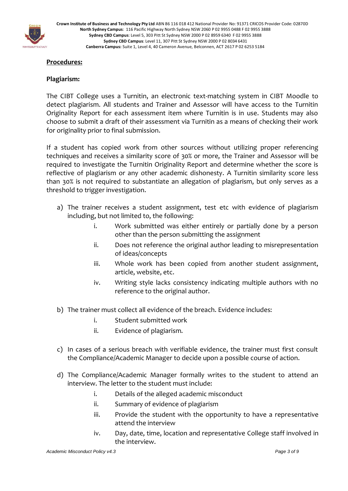

# **Procedures:**

# **Plagiarism:**

The CIBT College uses a Turnitin, an electronic text-matching system in CIBT Moodle to detect plagiarism. All students and Trainer and Assessor will have access to the Turnitin Originality Report for each assessment item where Turnitin is in use. Students may also choose to submit a draft of their assessment via Turnitin as a means of checking their work for originality prior to final submission.

If a student has copied work from other sources without utilizing proper referencing techniques and receives a similarity score of 30% or more, the Trainer and Assessor will be required to investigate the Turnitin Originality Report and determine whether the score is reflective of plagiarism or any other academic dishonesty. A Turnitin similarity score less than 30% is not required to substantiate an allegation of plagiarism, but only serves as a threshold to trigger investigation.

- a) The trainer receives a student assignment, test etc with evidence of plagiarism including, but not limited to, the following:
	- i. Work submitted was either entirely or partially done by a person other than the person submitting the assignment
	- ii. Does not reference the original author leading to misrepresentation of ideas/concepts
	- iii. Whole work has been copied from another student assignment, article, website, etc.
	- iv. Writing style lacks consistency indicating multiple authors with no reference to the original author.
- b) The trainer must collect all evidence of the breach. Evidence includes:
	- i. Student submitted work
	- ii. Evidence of plagiarism.
- c) In cases of a serious breach with verifiable evidence, the trainer must first consult the Compliance/Academic Manager to decide upon a possible course of action.
- d) The Compliance/Academic Manager formally writes to the student to attend an interview. The letter to the student must include:
	- i. Details of the alleged academic misconduct
	- ii. Summary of evidence of plagiarism
	- iii. Provide the student with the opportunity to have a representative attend the interview
	- iv. Day, date, time, location and representative College staff involved in the interview.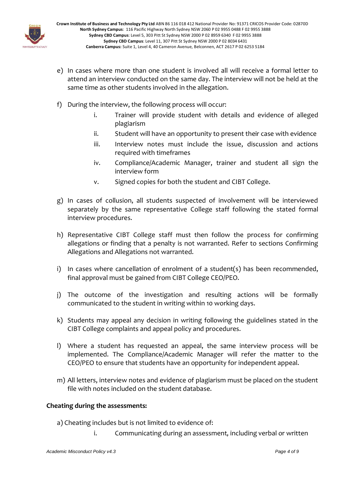

- e) In cases where more than one student is involved all will receive a formal letter to attend an interview conducted on the same day. The interview will not be held at the same time as other students involved in the allegation.
- f) During the interview, the following process will occur:
	- i. Trainer will provide student with details and evidence of alleged plagiarism
	- ii. Student will have an opportunity to present their case with evidence
	- iii. Interview notes must include the issue, discussion and actions required with timeframes
	- iv. Compliance/Academic Manager, trainer and student all sign the interview form
	- v. Signed copies for both the student and CIBT College.
- g) In cases of collusion, all students suspected of involvement will be interviewed separately by the same representative College staff following the stated formal interview procedures.
- h) Representative CIBT College staff must then follow the process for confirming allegations or finding that a penalty is not warranted. Refer to sections Confirming Allegations and Allegations not warranted.
- i) In cases where cancellation of enrolment of a student(s) has been recommended, final approval must be gained from CIBT College CEO/PEO.
- j) The outcome of the investigation and resulting actions will be formally communicated to the student in writing within 10 working days.
- k) Students may appeal any decision in writing following the guidelines stated in the CIBT College complaints and appeal policy and procedures.
- l) Where a student has requested an appeal, the same interview process will be implemented. The Compliance/Academic Manager will refer the matter to the CEO/PEO to ensure that students have an opportunity for independent appeal.
- m) All letters, interview notes and evidence of plagiarism must be placed on the student file with notes included on the student database.

# **Cheating during the assessments:**

- a) Cheating includes but is not limited to evidence of:
	- i. Communicating during an assessment, including verbal or written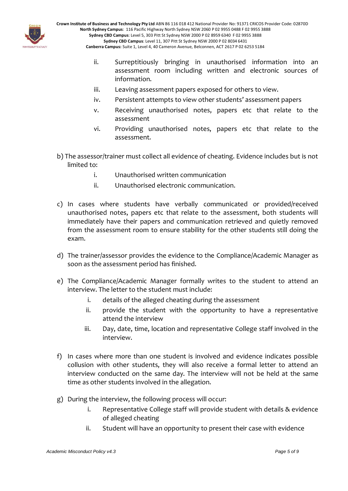

- ii. Surreptitiously bringing in unauthorised information into an assessment room including written and electronic sources of information.
- iii. Leaving assessment papers exposed for others to view.
- iv. Persistent attempts to view other students' assessment papers
- v. Receiving unauthorised notes, papers etc that relate to the assessment
- vi. Providing unauthorised notes, papers etc that relate to the assessment.
- b) The assessor/trainer must collect all evidence of cheating. Evidence includes but is not limited to:
	- i. Unauthorised written communication
	- ii. Unauthorised electronic communication.
- c) In cases where students have verbally communicated or provided/received unauthorised notes, papers etc that relate to the assessment, both students will immediately have their papers and communication retrieved and quietly removed from the assessment room to ensure stability for the other students still doing the exam.
- d) The trainer/assessor provides the evidence to the Compliance/Academic Manager as soon as the assessment period has finished.
- e) The Compliance/Academic Manager formally writes to the student to attend an interview. The letter to the student must include:
	- i. details of the alleged cheating during the assessment
	- ii. provide the student with the opportunity to have a representative attend the interview
	- iii. Day, date, time, location and representative College staff involved in the interview.
- f) In cases where more than one student is involved and evidence indicates possible collusion with other students, they will also receive a formal letter to attend an interview conducted on the same day. The interview will not be held at the same time as other students involved in the allegation.
- g) During the interview, the following process will occur:
	- i. Representative College staff will provide student with details & evidence of alleged cheating
	- ii. Student will have an opportunity to present their case with evidence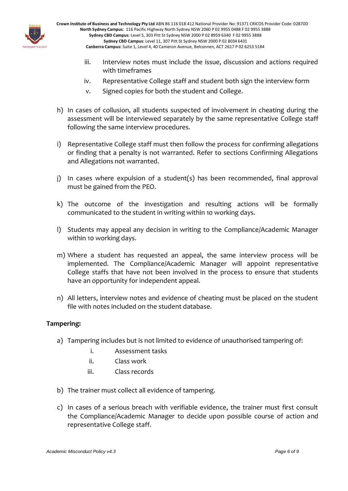

- iii. Interview notes must include the issue, discussion and actions required with timeframes
- iv. Representative College staff and student both sign the interview form
- v. Signed copies for both the student and College.
- h) In cases of collusion, all students suspected of involvement in cheating during the assessment will be interviewed separately by the same representative College staff following the same interview procedures.
- i) Representative College staff must then follow the process for confirming allegations or finding that a penalty is not warranted. Refer to sections Confirming Allegations and Allegations not warranted.
- j) In cases where expulsion of a student(s) has been recommended, final approval must be gained from the PEO.
- k) The outcome of the investigation and resulting actions will be formally communicated to the student in writing within 10 working days.
- l) Students may appeal any decision in writing to the Compliance/Academic Manager within 10 working days.
- m) Where a student has requested an appeal, the same interview process will be implemented. The Compliance/Academic Manager will appoint representative College staffs that have not been involved in the process to ensure that students have an opportunity for independent appeal.
- n) All letters, interview notes and evidence of cheating must be placed on the student file with notes included on the student database.

# **Tampering:**

- a) Tampering includes but is not limited to evidence of unauthorised tampering of:
	- i. Assessment tasks
	- ii. Class work
	- iii. Class records
- b) The trainer must collect all evidence of tampering.
- c) In cases of a serious breach with verifiable evidence, the trainer must first consult the Compliance/Academic Manager to decide upon possible course of action and representative College staff.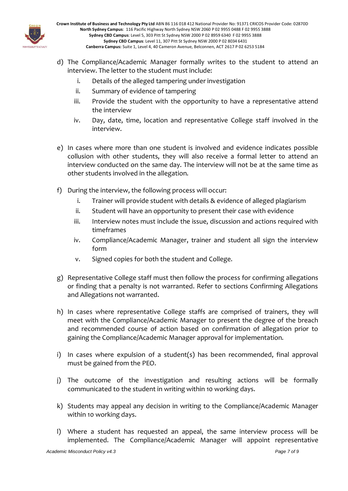

- d) The Compliance/Academic Manager formally writes to the student to attend an interview. The letter to the student must include:
	- i. Details of the alleged tampering under investigation
	- ii. Summary of evidence of tampering
	- iii. Provide the student with the opportunity to have a representative attend the interview
	- iv. Day, date, time, location and representative College staff involved in the interview.
- e) In cases where more than one student is involved and evidence indicates possible collusion with other students, they will also receive a formal letter to attend an interview conducted on the same day. The interview will not be at the same time as other students involved in the allegation.
- f) During the interview, the following process will occur:
	- i. Trainer will provide student with details & evidence of alleged plagiarism
	- ii. Student will have an opportunity to present their case with evidence
	- iii. Interview notes must include the issue, discussion and actions required with timeframes
	- iv. Compliance/Academic Manager, trainer and student all sign the interview form
	- v. Signed copies for both the student and College.
- g) Representative College staff must then follow the process for confirming allegations or finding that a penalty is not warranted. Refer to sections Confirming Allegations and Allegations not warranted.
- h) In cases where representative College staffs are comprised of trainers, they will meet with the Compliance/Academic Manager to present the degree of the breach and recommended course of action based on confirmation of allegation prior to gaining the Compliance/Academic Manager approval for implementation.
- i) In cases where expulsion of a student(s) has been recommended, final approval must be gained from the PEO.
- j) The outcome of the investigation and resulting actions will be formally communicated to the student in writing within 10 working days.
- k) Students may appeal any decision in writing to the Compliance/Academic Manager within 10 working days.
- l) Where a student has requested an appeal, the same interview process will be implemented. The Compliance/Academic Manager will appoint representative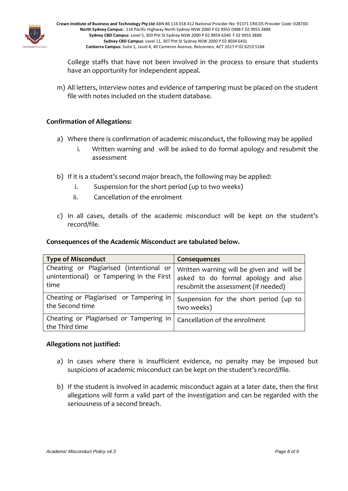

College staffs that have not been involved in the process to ensure that students have an opportunity for independent appeal.

m) All letters, interview notes and evidence of tampering must be placed on the student file with notes included on the student database.

# **Confirmation of Allegations:**

- a) Where there is confirmation of academic misconduct, the following may be applied
	- i. Written warning and will be asked to do formal apology and resubmit the assessment
- b) If it is a student's second major breach, the following may be applied:
	- i. Suspension for the short period (up to two weeks)
	- ii. Cancellation of the enrolment
- c) In all cases, details of the academic misconduct will be kept on the student's record/file.

# **Consequences of the Academic Misconduct are tabulated below.**

| <b>Type of Misconduct</b>                                 | <b>Consequences</b>                       |
|-----------------------------------------------------------|-------------------------------------------|
| Cheating or Plagiarised (intentional or                   | Written warning will be given and will be |
| unintentional) or Tampering in the First                  | asked to do formal apology and also       |
| time                                                      | resubmit the assessment (if needed)       |
| Cheating or Plagiarised or Tampering in                   | Suspension for the short period (up to    |
| the Second time                                           | two weeks)                                |
| Cheating or Plagiarised or Tampering in<br>the Third time | Cancellation of the enrolment             |

# **Allegations not justified:**

- a) In cases where there is insufficient evidence, no penalty may be imposed but suspicions of academic misconduct can be kept on the student's record/file.
- b) If the student is involved in academic misconduct again at a later date, then the first allegations will form a valid part of the investigation and can be regarded with the seriousness of a second breach.